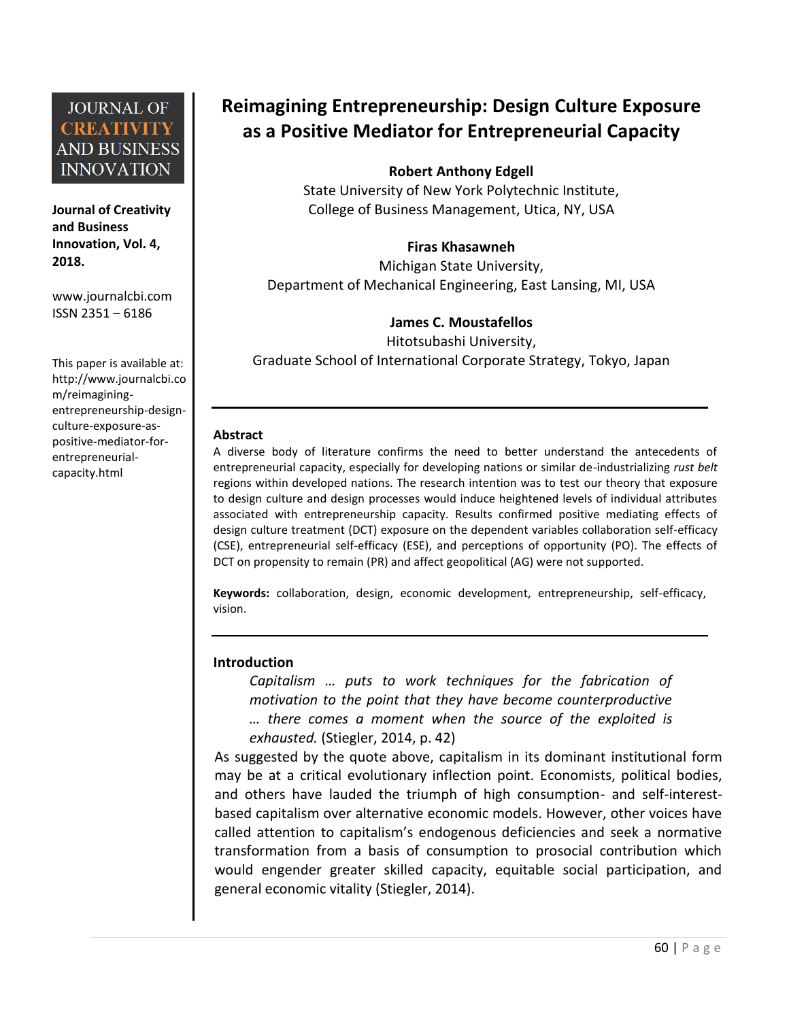**Journal of Creativity and Business Innovation, Vol. 4, 2018.**

[www.journalcbi.com](http://www.journalcbi.com/) ISSN 2351 – 6186

This paper is available at: [http://www.journalcbi.co](http://www.journalcbi.com/ideation-using-analogies.html) [m/reimagining](http://www.journalcbi.com/ideation-using-analogies.html)[entrepreneurship-design](http://www.journalcbi.com/ideation-using-analogies.html)[culture-exposure-as](http://www.journalcbi.com/ideation-using-analogies.html)[positive-mediator-for](http://www.journalcbi.com/ideation-using-analogies.html)[entrepreneurial](http://www.journalcbi.com/ideation-using-analogies.html)[capacity.html](http://www.journalcbi.com/ideation-using-analogies.html)

# **Reimagining Entrepreneurship: Design Culture Exposure as a Positive Mediator for Entrepreneurial Capacity**

#### **Robert Anthony Edgell**

State University of New York Polytechnic Institute, College of Business Management, Utica, NY, USA

#### **Firas Khasawneh**

Michigan State University, Department of Mechanical Engineering, East Lansing, MI, USA

#### **James C. Moustafellos**

Hitotsubashi University, Graduate School of International Corporate Strategy, Tokyo, Japan

#### **Abstract**

A diverse body of literature confirms the need to better understand the antecedents of entrepreneurial capacity, especially for developing nations or similar de-industrializing *rust belt* regions within developed nations. The research intention was to test our theory that exposure to design culture and design processes would induce heightened levels of individual attributes associated with entrepreneurship capacity. Results confirmed positive mediating effects of design culture treatment (DCT) exposure on the dependent variables collaboration self-efficacy (CSE), entrepreneurial self-efficacy (ESE), and perceptions of opportunity (PO). The effects of DCT on propensity to remain (PR) and affect geopolitical (AG) were not supported.

**Keywords:** collaboration, design, economic development, entrepreneurship, self-efficacy, vision.

#### **Introduction**

*Capitalism … puts to work techniques for the fabrication of motivation to the point that they have become counterproductive … there comes a moment when the source of the exploited is exhausted.* (Stiegler, 2014, p. 42)

As suggested by the quote above, capitalism in its dominant institutional form may be at a critical evolutionary inflection point. Economists, political bodies, and others have lauded the triumph of high consumption- and self-interestbased capitalism over alternative economic models. However, other voices have called attention to capitalism's endogenous deficiencies and seek a normative transformation from a basis of consumption to prosocial contribution which would engender greater skilled capacity, equitable social participation, and general economic vitality (Stiegler, 2014).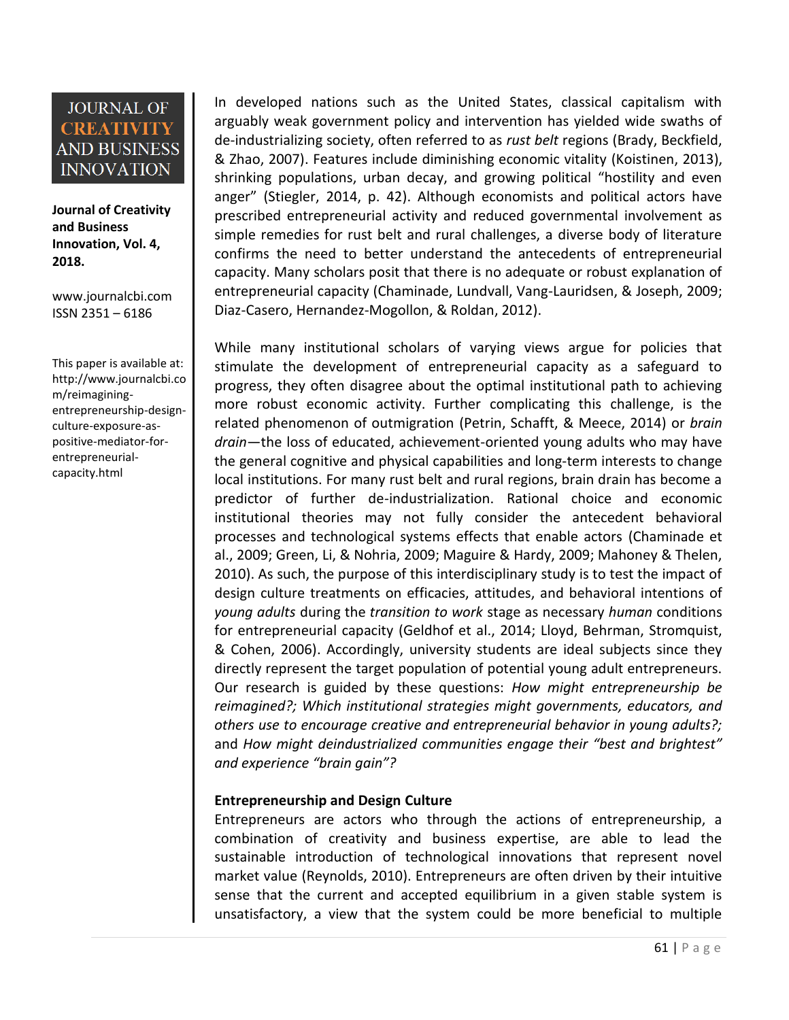**Journal of Creativity and Business Innovation, Vol. 4, 2018.**

[www.journalcbi.com](http://www.journalcbi.com/) ISSN 2351 – 6186

This paper is available at: [http://www.journalcbi.co](http://www.journalcbi.com/ideation-using-analogies.html) [m/reimagining](http://www.journalcbi.com/ideation-using-analogies.html)[entrepreneurship-design](http://www.journalcbi.com/ideation-using-analogies.html)[culture-exposure-as](http://www.journalcbi.com/ideation-using-analogies.html)[positive-mediator-for](http://www.journalcbi.com/ideation-using-analogies.html)[entrepreneurial](http://www.journalcbi.com/ideation-using-analogies.html)[capacity.html](http://www.journalcbi.com/ideation-using-analogies.html)

In developed nations such as the United States, classical capitalism with arguably weak government policy and intervention has yielded wide swaths of de-industrializing society, often referred to as *rust belt* regions (Brady, Beckfield, & Zhao, 2007). Features include diminishing economic vitality (Koistinen, 2013), shrinking populations, urban decay, and growing political "hostility and even anger" (Stiegler, 2014, p. 42). Although economists and political actors have prescribed entrepreneurial activity and reduced governmental involvement as simple remedies for rust belt and rural challenges, a diverse body of literature confirms the need to better understand the antecedents of entrepreneurial capacity. Many scholars posit that there is no adequate or robust explanation of entrepreneurial capacity (Chaminade, Lundvall, Vang-Lauridsen, & Joseph, 2009; Diaz-Casero, Hernandez-Mogollon, & Roldan, 2012).

While many institutional scholars of varying views argue for policies that stimulate the development of entrepreneurial capacity as a safeguard to progress, they often disagree about the optimal institutional path to achieving more robust economic activity. Further complicating this challenge, is the related phenomenon of outmigration (Petrin, Schafft, & Meece, 2014) or *brain drain*—the loss of educated, achievement-oriented young adults who may have the general cognitive and physical capabilities and long-term interests to change local institutions. For many rust belt and rural regions, brain drain has become a predictor of further de-industrialization. Rational choice and economic institutional theories may not fully consider the antecedent behavioral processes and technological systems effects that enable actors (Chaminade et al., 2009; Green, Li, & Nohria, 2009; Maguire & Hardy, 2009; Mahoney & Thelen, 2010). As such, the purpose of this interdisciplinary study is to test the impact of design culture treatments on efficacies, attitudes, and behavioral intentions of *young adults* during the *transition to work* stage as necessary *human* conditions for entrepreneurial capacity (Geldhof et al., 2014; Lloyd, Behrman, Stromquist, & Cohen, 2006). Accordingly, university students are ideal subjects since they directly represent the target population of potential young adult entrepreneurs. Our research is guided by these questions: *How might entrepreneurship be reimagined?; Which institutional strategies might governments, educators, and others use to encourage creative and entrepreneurial behavior in young adults?;*  and *How might deindustrialized communities engage their "best and brightest" and experience "brain gain"?* 

#### **Entrepreneurship and Design Culture**

Entrepreneurs are actors who through the actions of entrepreneurship, a combination of creativity and business expertise, are able to lead the sustainable introduction of technological innovations that represent novel market value (Reynolds, 2010). Entrepreneurs are often driven by their intuitive sense that the current and accepted equilibrium in a given stable system is unsatisfactory, a view that the system could be more beneficial to multiple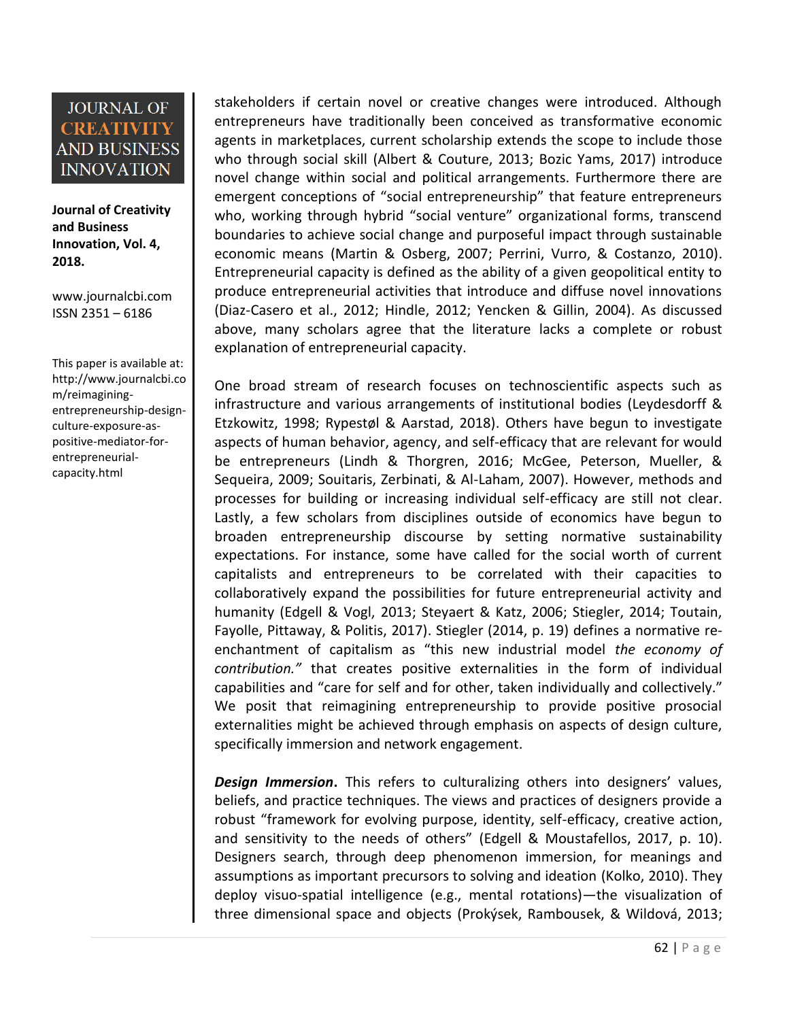**Journal of Creativity and Business Innovation, Vol. 4, 2018.**

[www.journalcbi.com](http://www.journalcbi.com/) ISSN 2351 – 6186

This paper is available at: [http://www.journalcbi.co](http://www.journalcbi.com/ideation-using-analogies.html) [m/reimagining](http://www.journalcbi.com/ideation-using-analogies.html)[entrepreneurship-design](http://www.journalcbi.com/ideation-using-analogies.html)[culture-exposure-as](http://www.journalcbi.com/ideation-using-analogies.html)[positive-mediator-for](http://www.journalcbi.com/ideation-using-analogies.html)[entrepreneurial](http://www.journalcbi.com/ideation-using-analogies.html)[capacity.html](http://www.journalcbi.com/ideation-using-analogies.html)

stakeholders if certain novel or creative changes were introduced. Although entrepreneurs have traditionally been conceived as transformative economic agents in marketplaces, current scholarship extends the scope to include those who through social skill (Albert & Couture, 2013; Bozic Yams, 2017) introduce novel change within social and political arrangements. Furthermore there are emergent conceptions of "social entrepreneurship" that feature entrepreneurs who, working through hybrid "social venture" organizational forms, transcend boundaries to achieve social change and purposeful impact through sustainable economic means (Martin & Osberg, 2007; Perrini, Vurro, & Costanzo, 2010). Entrepreneurial capacity is defined as the ability of a given geopolitical entity to produce entrepreneurial activities that introduce and diffuse novel innovations (Diaz-Casero et al., 2012; Hindle, 2012; Yencken & Gillin, 2004). As discussed above, many scholars agree that the literature lacks a complete or robust explanation of entrepreneurial capacity.

One broad stream of research focuses on technoscientific aspects such as infrastructure and various arrangements of institutional bodies (Leydesdorff & Etzkowitz, 1998; Rypestøl & Aarstad, 2018). Others have begun to investigate aspects of human behavior, agency, and self-efficacy that are relevant for would be entrepreneurs (Lindh & Thorgren, 2016; McGee, Peterson, Mueller, & Sequeira, 2009; Souitaris, Zerbinati, & Al-Laham, 2007). However, methods and processes for building or increasing individual self-efficacy are still not clear. Lastly, a few scholars from disciplines outside of economics have begun to broaden entrepreneurship discourse by setting normative sustainability expectations. For instance, some have called for the social worth of current capitalists and entrepreneurs to be correlated with their capacities to collaboratively expand the possibilities for future entrepreneurial activity and humanity (Edgell & Vogl, 2013; Steyaert & Katz, 2006; Stiegler, 2014; Toutain, Fayolle, Pittaway, & Politis, 2017). Stiegler (2014, p. 19) defines a normative reenchantment of capitalism as "this new industrial model *the economy of contribution."* that creates positive externalities in the form of individual capabilities and "care for self and for other, taken individually and collectively." We posit that reimagining entrepreneurship to provide positive prosocial externalities might be achieved through emphasis on aspects of design culture, specifically immersion and network engagement.

*Design Immersion***.** This refers to culturalizing others into designers' values, beliefs, and practice techniques. The views and practices of designers provide a robust "framework for evolving purpose, identity, self-efficacy, creative action, and sensitivity to the needs of others" (Edgell & Moustafellos, 2017, p. 10). Designers search, through deep phenomenon immersion, for meanings and assumptions as important precursors to solving and ideation (Kolko, 2010). They deploy visuo-spatial intelligence (e.g., mental rotations)—the visualization of three dimensional space and objects (Prokýsek, Rambousek, & Wildová, 2013;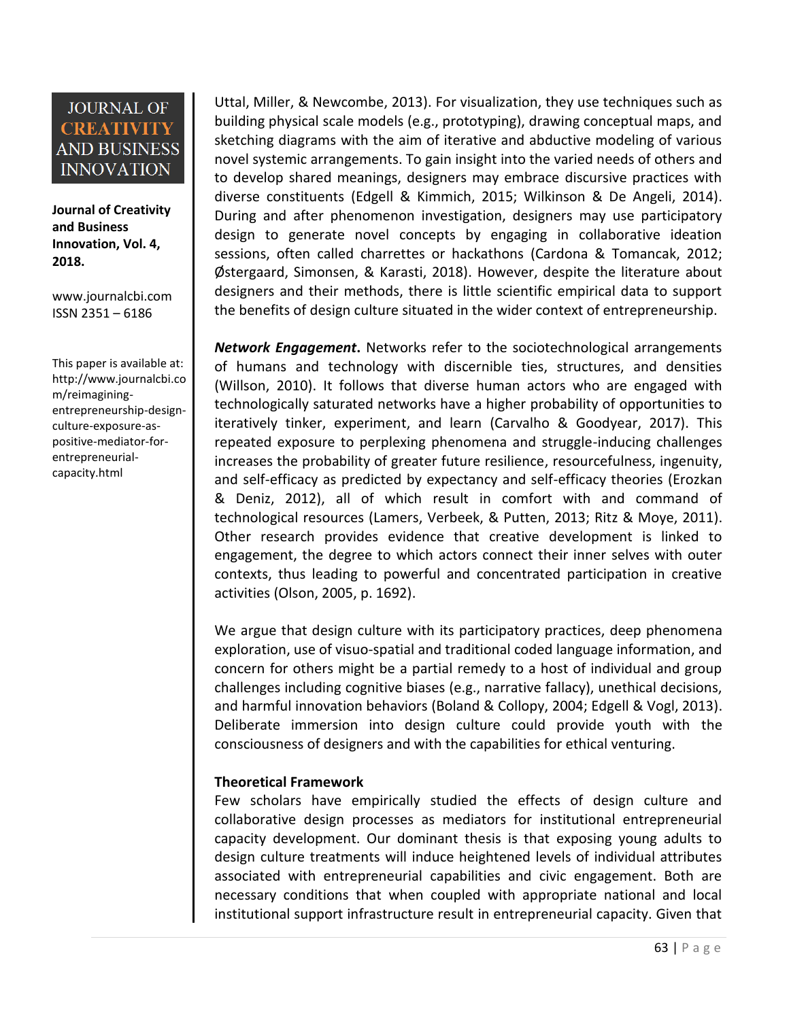**Journal of Creativity and Business Innovation, Vol. 4, 2018.**

[www.journalcbi.com](http://www.journalcbi.com/) ISSN 2351 – 6186

This paper is available at: [http://www.journalcbi.co](http://www.journalcbi.com/ideation-using-analogies.html) [m/reimagining](http://www.journalcbi.com/ideation-using-analogies.html)[entrepreneurship-design](http://www.journalcbi.com/ideation-using-analogies.html)[culture-exposure-as](http://www.journalcbi.com/ideation-using-analogies.html)[positive-mediator-for](http://www.journalcbi.com/ideation-using-analogies.html)[entrepreneurial](http://www.journalcbi.com/ideation-using-analogies.html)[capacity.html](http://www.journalcbi.com/ideation-using-analogies.html)

Uttal, Miller, & Newcombe, 2013). For visualization, they use techniques such as building physical scale models (e.g., prototyping), drawing conceptual maps, and sketching diagrams with the aim of iterative and abductive modeling of various novel systemic arrangements. To gain insight into the varied needs of others and to develop shared meanings, designers may embrace discursive practices with diverse constituents (Edgell & Kimmich, 2015; Wilkinson & De Angeli, 2014). During and after phenomenon investigation, designers may use participatory design to generate novel concepts by engaging in collaborative ideation sessions, often called charrettes or hackathons (Cardona & Tomancak, 2012; Østergaard, Simonsen, & Karasti, 2018). However, despite the literature about designers and their methods, there is little scientific empirical data to support the benefits of design culture situated in the wider context of entrepreneurship.

*Network Engagement***.** Networks refer to the sociotechnological arrangements of humans and technology with discernible ties, structures, and densities (Willson, 2010). It follows that diverse human actors who are engaged with technologically saturated networks have a higher probability of opportunities to iteratively tinker, experiment, and learn (Carvalho & Goodyear, 2017). This repeated exposure to perplexing phenomena and struggle-inducing challenges increases the probability of greater future resilience, resourcefulness, ingenuity, and self-efficacy as predicted by expectancy and self-efficacy theories (Erozkan & Deniz, 2012), all of which result in comfort with and command of technological resources (Lamers, Verbeek, & Putten, 2013; Ritz & Moye, 2011). Other research provides evidence that creative development is linked to engagement, the degree to which actors connect their inner selves with outer contexts, thus leading to powerful and concentrated participation in creative activities (Olson, 2005, p. 1692).

We argue that design culture with its participatory practices, deep phenomena exploration, use of visuo-spatial and traditional coded language information, and concern for others might be a partial remedy to a host of individual and group challenges including cognitive biases (e.g., narrative fallacy), unethical decisions, and harmful innovation behaviors (Boland & Collopy, 2004; Edgell & Vogl, 2013). Deliberate immersion into design culture could provide youth with the consciousness of designers and with the capabilities for ethical venturing.

#### **Theoretical Framework**

Few scholars have empirically studied the effects of design culture and collaborative design processes as mediators for institutional entrepreneurial capacity development. Our dominant thesis is that exposing young adults to design culture treatments will induce heightened levels of individual attributes associated with entrepreneurial capabilities and civic engagement. Both are necessary conditions that when coupled with appropriate national and local institutional support infrastructure result in entrepreneurial capacity. Given that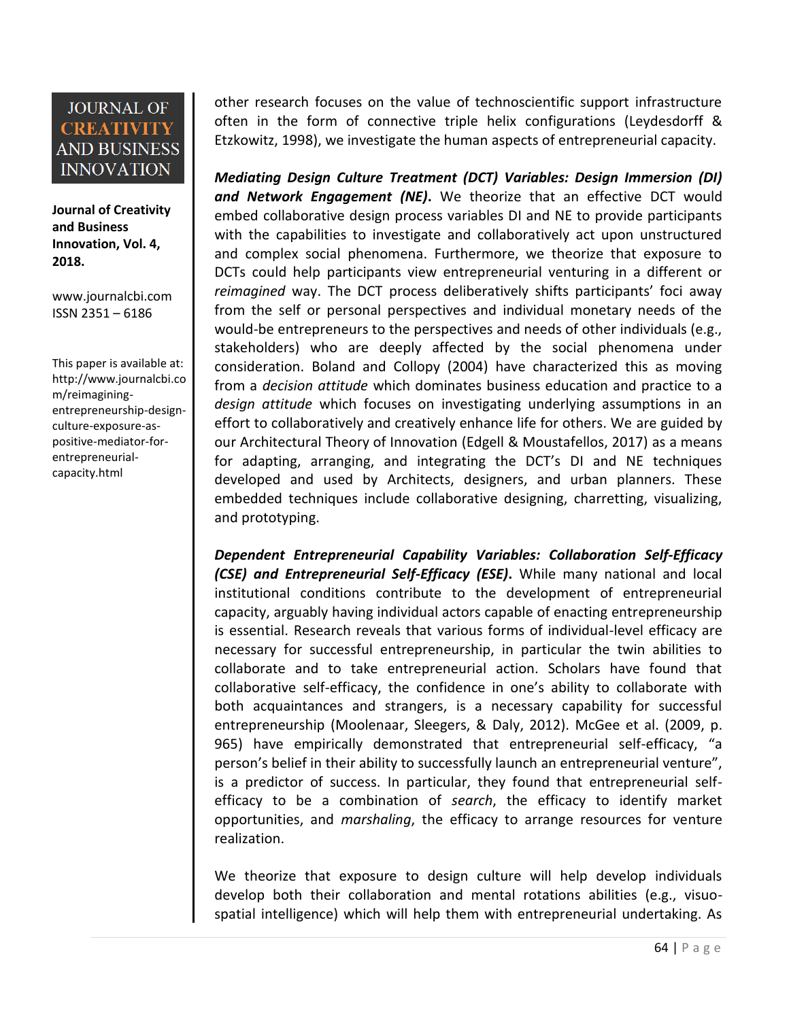**Journal of Creativity and Business Innovation, Vol. 4, 2018.**

[www.journalcbi.com](http://www.journalcbi.com/) ISSN 2351 – 6186

This paper is available at: [http://www.journalcbi.co](http://www.journalcbi.com/ideation-using-analogies.html) [m/reimagining](http://www.journalcbi.com/ideation-using-analogies.html)[entrepreneurship-design](http://www.journalcbi.com/ideation-using-analogies.html)[culture-exposure-as](http://www.journalcbi.com/ideation-using-analogies.html)[positive-mediator-for](http://www.journalcbi.com/ideation-using-analogies.html)[entrepreneurial](http://www.journalcbi.com/ideation-using-analogies.html)[capacity.html](http://www.journalcbi.com/ideation-using-analogies.html)

other research focuses on the value of technoscientific support infrastructure often in the form of connective triple helix configurations (Leydesdorff & Etzkowitz, 1998), we investigate the human aspects of entrepreneurial capacity.

*Mediating Design Culture Treatment (DCT) Variables: Design Immersion (DI) and Network Engagement (NE)***.** We theorize that an effective DCT would embed collaborative design process variables DI and NE to provide participants with the capabilities to investigate and collaboratively act upon unstructured and complex social phenomena. Furthermore, we theorize that exposure to DCTs could help participants view entrepreneurial venturing in a different or *reimagined* way. The DCT process deliberatively shifts participants' foci away from the self or personal perspectives and individual monetary needs of the would-be entrepreneurs to the perspectives and needs of other individuals (e.g., stakeholders) who are deeply affected by the social phenomena under consideration. Boland and Collopy (2004) have characterized this as moving from a *decision attitude* which dominates business education and practice to a *design attitude* which focuses on investigating underlying assumptions in an effort to collaboratively and creatively enhance life for others. We are guided by our Architectural Theory of Innovation (Edgell & Moustafellos, 2017) as a means for adapting, arranging, and integrating the DCT's DI and NE techniques developed and used by Architects, designers, and urban planners. These embedded techniques include collaborative designing, charretting, visualizing, and prototyping.

*Dependent Entrepreneurial Capability Variables: Collaboration Self-Efficacy (CSE) and Entrepreneurial Self-Efficacy (ESE)***.** While many national and local institutional conditions contribute to the development of entrepreneurial capacity, arguably having individual actors capable of enacting entrepreneurship is essential. Research reveals that various forms of individual-level efficacy are necessary for successful entrepreneurship, in particular the twin abilities to collaborate and to take entrepreneurial action. Scholars have found that collaborative self-efficacy, the confidence in one's ability to collaborate with both acquaintances and strangers, is a necessary capability for successful entrepreneurship (Moolenaar, Sleegers, & Daly, 2012). McGee et al. (2009, p. 965) have empirically demonstrated that entrepreneurial self-efficacy, "a person's belief in their ability to successfully launch an entrepreneurial venture", is a predictor of success. In particular, they found that entrepreneurial selfefficacy to be a combination of *search*, the efficacy to identify market opportunities, and *marshaling*, the efficacy to arrange resources for venture realization.

We theorize that exposure to design culture will help develop individuals develop both their collaboration and mental rotations abilities (e.g., visuospatial intelligence) which will help them with entrepreneurial undertaking. As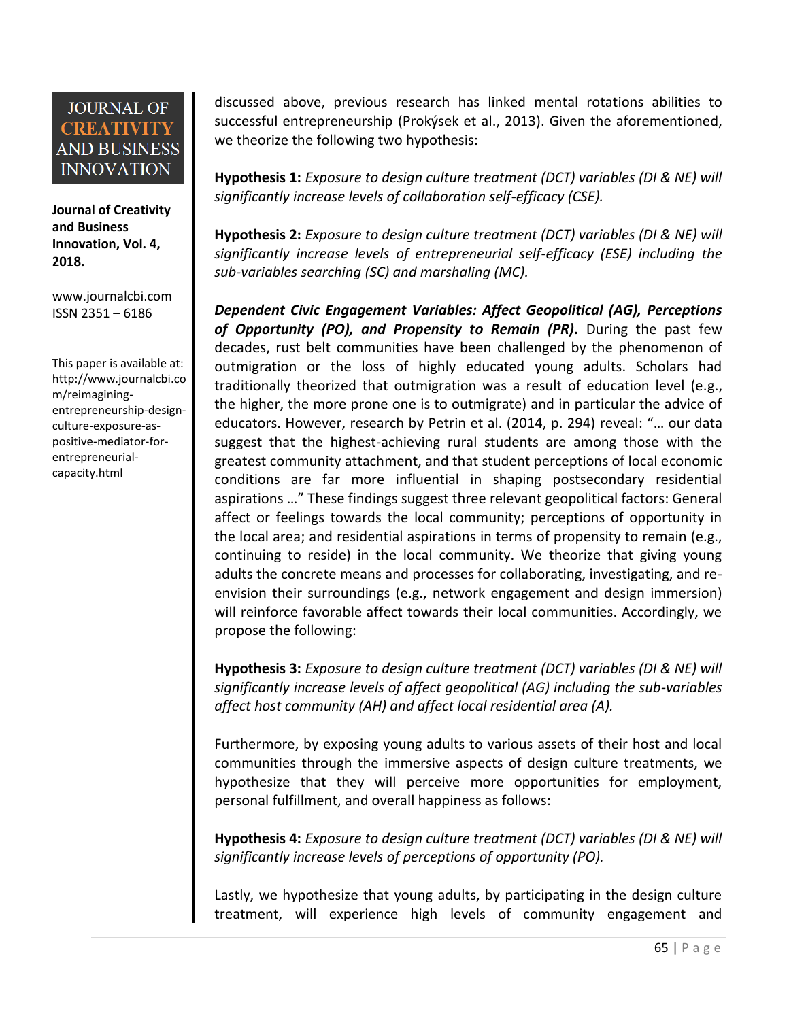**Journal of Creativity and Business Innovation, Vol. 4, 2018.**

[www.journalcbi.com](http://www.journalcbi.com/) ISSN 2351 – 6186

This paper is available at: [http://www.journalcbi.co](http://www.journalcbi.com/ideation-using-analogies.html) [m/reimagining](http://www.journalcbi.com/ideation-using-analogies.html)[entrepreneurship-design](http://www.journalcbi.com/ideation-using-analogies.html)[culture-exposure-as](http://www.journalcbi.com/ideation-using-analogies.html)[positive-mediator-for](http://www.journalcbi.com/ideation-using-analogies.html)[entrepreneurial](http://www.journalcbi.com/ideation-using-analogies.html)[capacity.html](http://www.journalcbi.com/ideation-using-analogies.html)

discussed above, previous research has linked mental rotations abilities to successful entrepreneurship (Prokýsek et al., 2013). Given the aforementioned, we theorize the following two hypothesis:

**Hypothesis 1:** *Exposure to design culture treatment (DCT) variables (DI & NE) will significantly increase levels of collaboration self-efficacy (CSE).*

**Hypothesis 2:** *Exposure to design culture treatment (DCT) variables (DI & NE) will significantly increase levels of entrepreneurial self-efficacy (ESE) including the sub-variables searching (SC) and marshaling (MC).*

*Dependent Civic Engagement Variables: Affect Geopolitical (AG), Perceptions of Opportunity (PO), and Propensity to Remain (PR)***.** During the past few decades, rust belt communities have been challenged by the phenomenon of outmigration or the loss of highly educated young adults. Scholars had traditionally theorized that outmigration was a result of education level (e.g., the higher, the more prone one is to outmigrate) and in particular the advice of educators. However, research by Petrin et al. (2014, p. 294) reveal: "… our data suggest that the highest-achieving rural students are among those with the greatest community attachment, and that student perceptions of local economic conditions are far more influential in shaping postsecondary residential aspirations …" These findings suggest three relevant geopolitical factors: General affect or feelings towards the local community; perceptions of opportunity in the local area; and residential aspirations in terms of propensity to remain (e.g., continuing to reside) in the local community. We theorize that giving young adults the concrete means and processes for collaborating, investigating, and reenvision their surroundings (e.g., network engagement and design immersion) will reinforce favorable affect towards their local communities. Accordingly, we propose the following:

**Hypothesis 3:** *Exposure to design culture treatment (DCT) variables (DI & NE) will significantly increase levels of affect geopolitical (AG) including the sub-variables affect host community (AH) and affect local residential area (A).*

Furthermore, by exposing young adults to various assets of their host and local communities through the immersive aspects of design culture treatments, we hypothesize that they will perceive more opportunities for employment, personal fulfillment, and overall happiness as follows:

**Hypothesis 4:** *Exposure to design culture treatment (DCT) variables (DI & NE) will significantly increase levels of perceptions of opportunity (PO).*

Lastly, we hypothesize that young adults, by participating in the design culture treatment, will experience high levels of community engagement and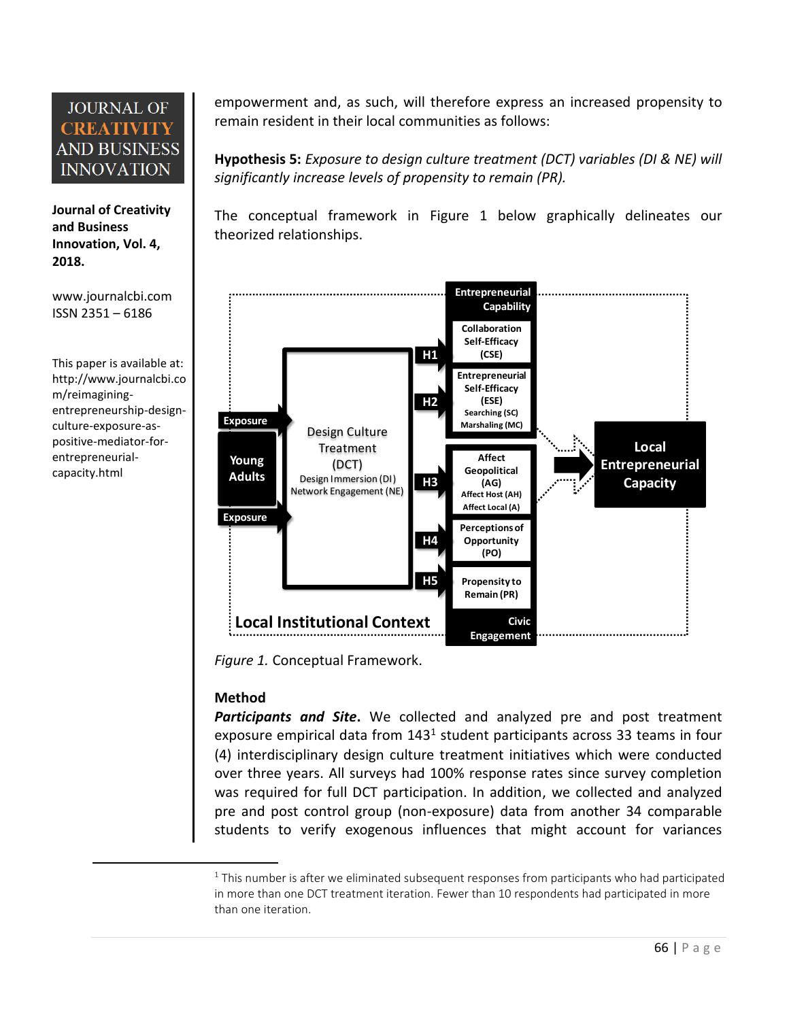**Journal of Creativity and Business Innovation, Vol. 4, 2018.**

[www.journalcbi.com](http://www.journalcbi.com/) ISSN 2351 – 6186

This paper is available at: [http://www.journalcbi.co](http://www.journalcbi.com/ideation-using-analogies.html) [m/reimagining](http://www.journalcbi.com/ideation-using-analogies.html)[entrepreneurship-design](http://www.journalcbi.com/ideation-using-analogies.html)[culture-exposure-as](http://www.journalcbi.com/ideation-using-analogies.html)[positive-mediator-for](http://www.journalcbi.com/ideation-using-analogies.html)[entrepreneurial](http://www.journalcbi.com/ideation-using-analogies.html)[capacity.html](http://www.journalcbi.com/ideation-using-analogies.html)

 $\overline{\phantom{a}}$ 

empowerment and, as such, will therefore express an increased propensity to remain resident in their local communities as follows:

**Hypothesis 5:** *Exposure to design culture treatment (DCT) variables (DI & NE) will significantly increase levels of propensity to remain (PR).*

The conceptual framework in Figure 1 below graphically delineates our theorized relationships.



*Figure 1.* Conceptual Framework.

#### **Method**

*Participants and Site***.** We collected and analyzed pre and post treatment exposure empirical data from 143<sup>1</sup> student participants across 33 teams in four (4) interdisciplinary design culture treatment initiatives which were conducted over three years. All surveys had 100% response rates since survey completion was required for full DCT participation. In addition, we collected and analyzed pre and post control group (non-exposure) data from another 34 comparable students to verify exogenous influences that might account for variances

 $1$  This number is after we eliminated subsequent responses from participants who had participated in more than one DCT treatment iteration. Fewer than 10 respondents had participated in more than one iteration.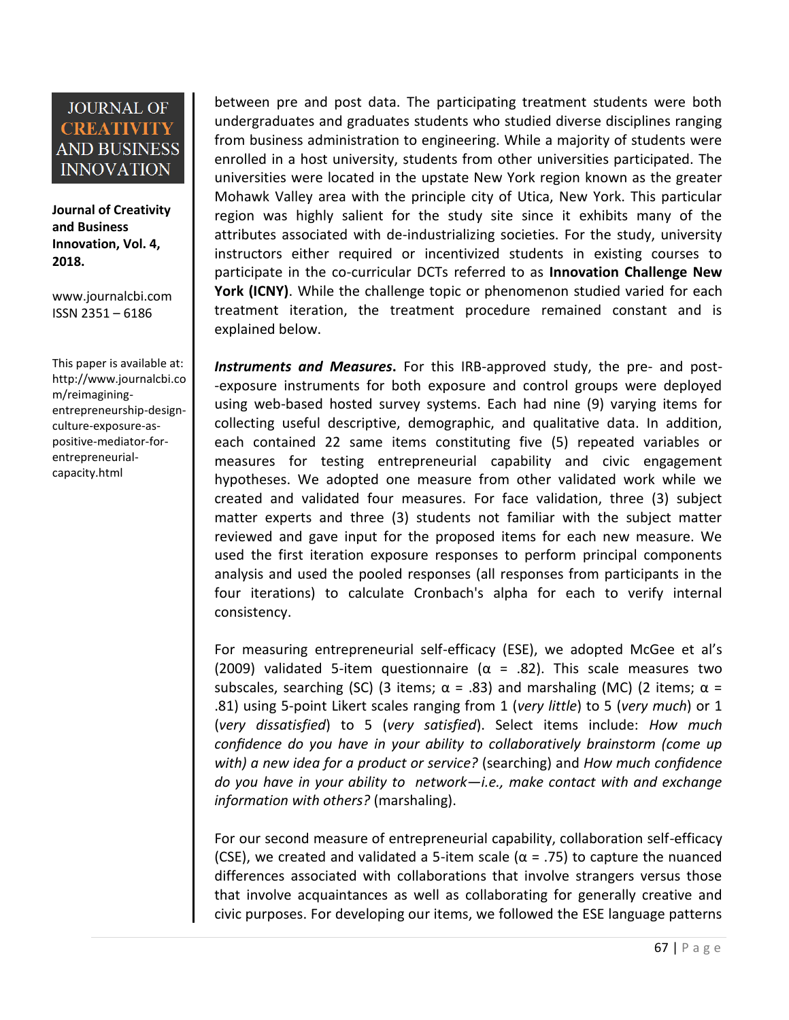**Journal of Creativity and Business Innovation, Vol. 4, 2018.**

[www.journalcbi.com](http://www.journalcbi.com/) ISSN 2351 – 6186

This paper is available at: [http://www.journalcbi.co](http://www.journalcbi.com/ideation-using-analogies.html) [m/reimagining](http://www.journalcbi.com/ideation-using-analogies.html)[entrepreneurship-design](http://www.journalcbi.com/ideation-using-analogies.html)[culture-exposure-as](http://www.journalcbi.com/ideation-using-analogies.html)[positive-mediator-for](http://www.journalcbi.com/ideation-using-analogies.html)[entrepreneurial](http://www.journalcbi.com/ideation-using-analogies.html)[capacity.html](http://www.journalcbi.com/ideation-using-analogies.html)

between pre and post data. The participating treatment students were both undergraduates and graduates students who studied diverse disciplines ranging from business administration to engineering. While a majority of students were enrolled in a host university, students from other universities participated. The universities were located in the upstate New York region known as the greater Mohawk Valley area with the principle city of Utica, New York. This particular region was highly salient for the study site since it exhibits many of the attributes associated with de-industrializing societies. For the study, university instructors either required or incentivized students in existing courses to participate in the co-curricular DCTs referred to as **Innovation Challenge New York (ICNY)**. While the challenge topic or phenomenon studied varied for each treatment iteration, the treatment procedure remained constant and is explained below.

*Instruments and Measures***.** For this IRB-approved study, the pre- and post- -exposure instruments for both exposure and control groups were deployed using web-based hosted survey systems. Each had nine (9) varying items for collecting useful descriptive, demographic, and qualitative data. In addition, each contained 22 same items constituting five (5) repeated variables or measures for testing entrepreneurial capability and civic engagement hypotheses. We adopted one measure from other validated work while we created and validated four measures. For face validation, three (3) subject matter experts and three (3) students not familiar with the subject matter reviewed and gave input for the proposed items for each new measure. We used the first iteration exposure responses to perform principal components analysis and used the pooled responses (all responses from participants in the four iterations) to calculate Cronbach's alpha for each to verify internal consistency.

For measuring entrepreneurial self-efficacy (ESE), we adopted McGee et al's (2009) validated 5-item questionnaire ( $\alpha$  = .82). This scale measures two subscales, searching (SC) (3 items;  $\alpha$  = .83) and marshaling (MC) (2 items;  $\alpha$  = .81) using 5-point Likert scales ranging from 1 (*very little*) to 5 (*very much*) or 1 (*very dissatisfied*) to 5 (*very satisfied*). Select items include: *How much confidence do you have in your ability to collaboratively brainstorm (come up with) a new idea for a product or service?* (searching) and *How much confidence do you have in your ability to network—i.e., make contact with and exchange information with others?* (marshaling).

For our second measure of entrepreneurial capability, collaboration self-efficacy (CSE), we created and validated a 5-item scale ( $\alpha$  = .75) to capture the nuanced differences associated with collaborations that involve strangers versus those that involve acquaintances as well as collaborating for generally creative and civic purposes. For developing our items, we followed the ESE language patterns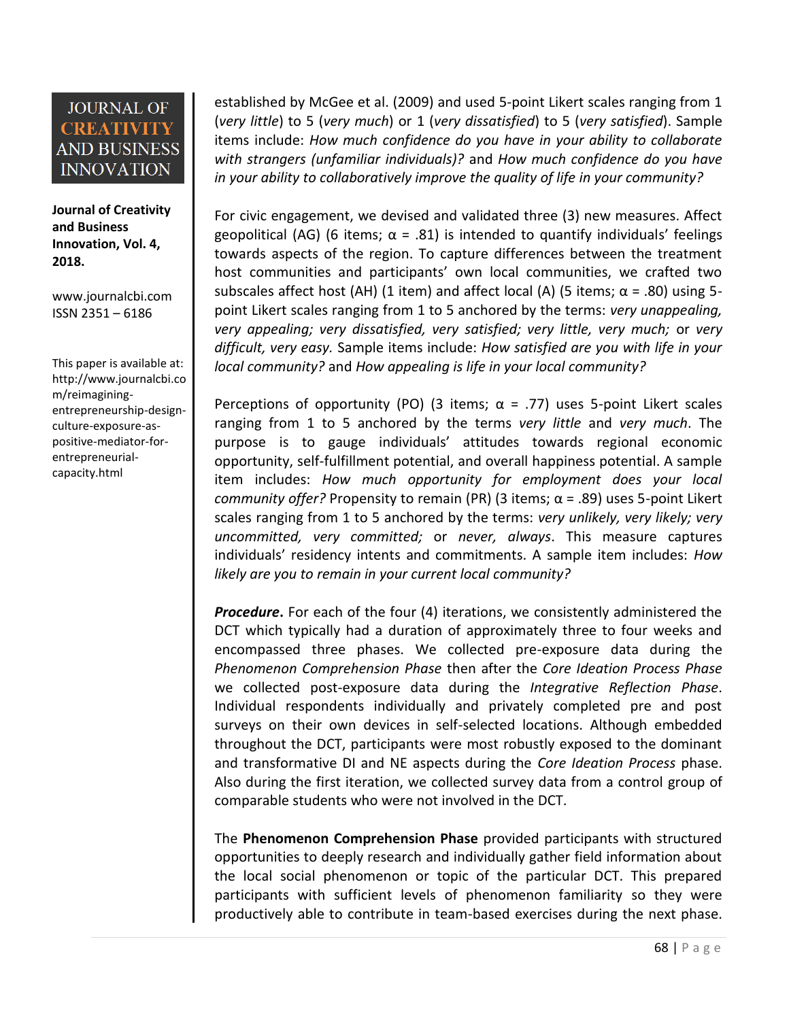**Journal of Creativity and Business Innovation, Vol. 4, 2018.**

[www.journalcbi.com](http://www.journalcbi.com/) ISSN 2351 – 6186

This paper is available at: [http://www.journalcbi.co](http://www.journalcbi.com/ideation-using-analogies.html) [m/reimagining](http://www.journalcbi.com/ideation-using-analogies.html)[entrepreneurship-design](http://www.journalcbi.com/ideation-using-analogies.html)[culture-exposure-as](http://www.journalcbi.com/ideation-using-analogies.html)[positive-mediator-for](http://www.journalcbi.com/ideation-using-analogies.html)[entrepreneurial](http://www.journalcbi.com/ideation-using-analogies.html)[capacity.html](http://www.journalcbi.com/ideation-using-analogies.html)

established by McGee et al. (2009) and used 5-point Likert scales ranging from 1 (*very little*) to 5 (*very much*) or 1 (*very dissatisfied*) to 5 (*very satisfied*). Sample items include: *How much confidence do you have in your ability to collaborate with strangers (unfamiliar individuals)?* and *How much confidence do you have in your ability to collaboratively improve the quality of life in your community?*

For civic engagement, we devised and validated three (3) new measures. Affect geopolitical (AG) (6 items;  $\alpha$  = .81) is intended to quantify individuals' feelings towards aspects of the region. To capture differences between the treatment host communities and participants' own local communities, we crafted two subscales affect host (AH) (1 item) and affect local (A) (5 items;  $\alpha$  = .80) using 5point Likert scales ranging from 1 to 5 anchored by the terms: *very unappealing, very appealing; very dissatisfied, very satisfied; very little, very much;* or *very difficult, very easy.* Sample items include: *How satisfied are you with life in your local community?* and *How appealing is life in your local community?*

Perceptions of opportunity (PO) (3 items;  $\alpha$  = .77) uses 5-point Likert scales ranging from 1 to 5 anchored by the terms *very little* and *very much*. The purpose is to gauge individuals' attitudes towards regional economic opportunity, self-fulfillment potential, and overall happiness potential. A sample item includes: *How much opportunity for employment does your local community offer?* Propensity to remain (PR) (3 items;  $\alpha$  = .89) uses 5-point Likert scales ranging from 1 to 5 anchored by the terms: *very unlikely, very likely; very uncommitted, very committed;* or *never, always*. This measure captures individuals' residency intents and commitments. A sample item includes: *How likely are you to remain in your current local community?*

*Procedure***.** For each of the four (4) iterations, we consistently administered the DCT which typically had a duration of approximately three to four weeks and encompassed three phases. We collected pre-exposure data during the *Phenomenon Comprehension Phase* then after the *Core Ideation Process Phase* we collected post-exposure data during the *Integrative Reflection Phase*. Individual respondents individually and privately completed pre and post surveys on their own devices in self-selected locations. Although embedded throughout the DCT, participants were most robustly exposed to the dominant and transformative DI and NE aspects during the *Core Ideation Process* phase. Also during the first iteration, we collected survey data from a control group of comparable students who were not involved in the DCT.

The **Phenomenon Comprehension Phase** provided participants with structured opportunities to deeply research and individually gather field information about the local social phenomenon or topic of the particular DCT. This prepared participants with sufficient levels of phenomenon familiarity so they were productively able to contribute in team-based exercises during the next phase.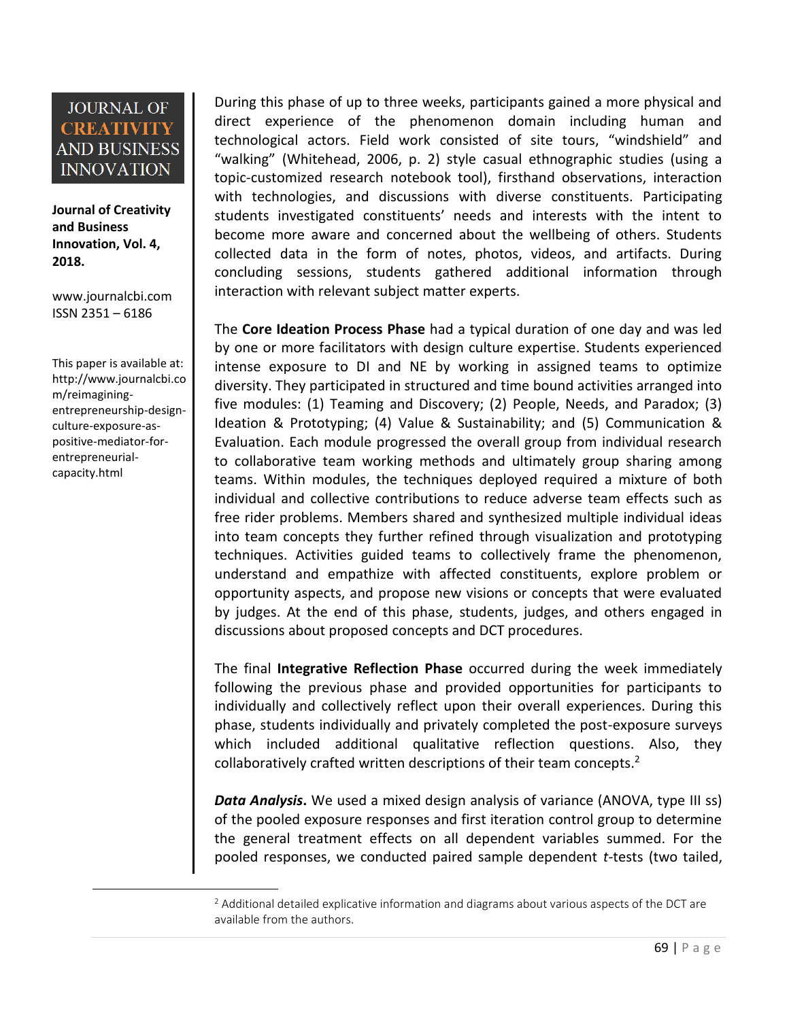**Journal of Creativity and Business Innovation, Vol. 4, 2018.**

[www.journalcbi.com](http://www.journalcbi.com/) ISSN 2351 – 6186

This paper is available at: [http://www.journalcbi.co](http://www.journalcbi.com/ideation-using-analogies.html) [m/reimagining](http://www.journalcbi.com/ideation-using-analogies.html)[entrepreneurship-design](http://www.journalcbi.com/ideation-using-analogies.html)[culture-exposure-as](http://www.journalcbi.com/ideation-using-analogies.html)[positive-mediator-for](http://www.journalcbi.com/ideation-using-analogies.html)[entrepreneurial](http://www.journalcbi.com/ideation-using-analogies.html)[capacity.html](http://www.journalcbi.com/ideation-using-analogies.html)

 $\overline{\phantom{a}}$ 

During this phase of up to three weeks, participants gained a more physical and direct experience of the phenomenon domain including human and technological actors. Field work consisted of site tours, "windshield" and "walking" (Whitehead, 2006, p. 2) style casual ethnographic studies (using a topic-customized research notebook tool), firsthand observations, interaction with technologies, and discussions with diverse constituents. Participating students investigated constituents' needs and interests with the intent to become more aware and concerned about the wellbeing of others. Students collected data in the form of notes, photos, videos, and artifacts. During concluding sessions, students gathered additional information through interaction with relevant subject matter experts.

The **Core Ideation Process Phase** had a typical duration of one day and was led by one or more facilitators with design culture expertise. Students experienced intense exposure to DI and NE by working in assigned teams to optimize diversity. They participated in structured and time bound activities arranged into five modules: (1) Teaming and Discovery; (2) People, Needs, and Paradox; (3) Ideation & Prototyping; (4) Value & Sustainability; and (5) Communication & Evaluation. Each module progressed the overall group from individual research to collaborative team working methods and ultimately group sharing among teams. Within modules, the techniques deployed required a mixture of both individual and collective contributions to reduce adverse team effects such as free rider problems. Members shared and synthesized multiple individual ideas into team concepts they further refined through visualization and prototyping techniques. Activities guided teams to collectively frame the phenomenon, understand and empathize with affected constituents, explore problem or opportunity aspects, and propose new visions or concepts that were evaluated by judges. At the end of this phase, students, judges, and others engaged in discussions about proposed concepts and DCT procedures.

The final **Integrative Reflection Phase** occurred during the week immediately following the previous phase and provided opportunities for participants to individually and collectively reflect upon their overall experiences. During this phase, students individually and privately completed the post-exposure surveys which included additional qualitative reflection questions. Also, they collaboratively crafted written descriptions of their team concepts.<sup>2</sup>

*Data Analysis***.** We used a mixed design analysis of variance (ANOVA, type III ss) of the pooled exposure responses and first iteration control group to determine the general treatment effects on all dependent variables summed. For the pooled responses, we conducted paired sample dependent *t*-tests (two tailed,

 $<sup>2</sup>$  Additional detailed explicative information and diagrams about various aspects of the DCT are</sup> available from the authors.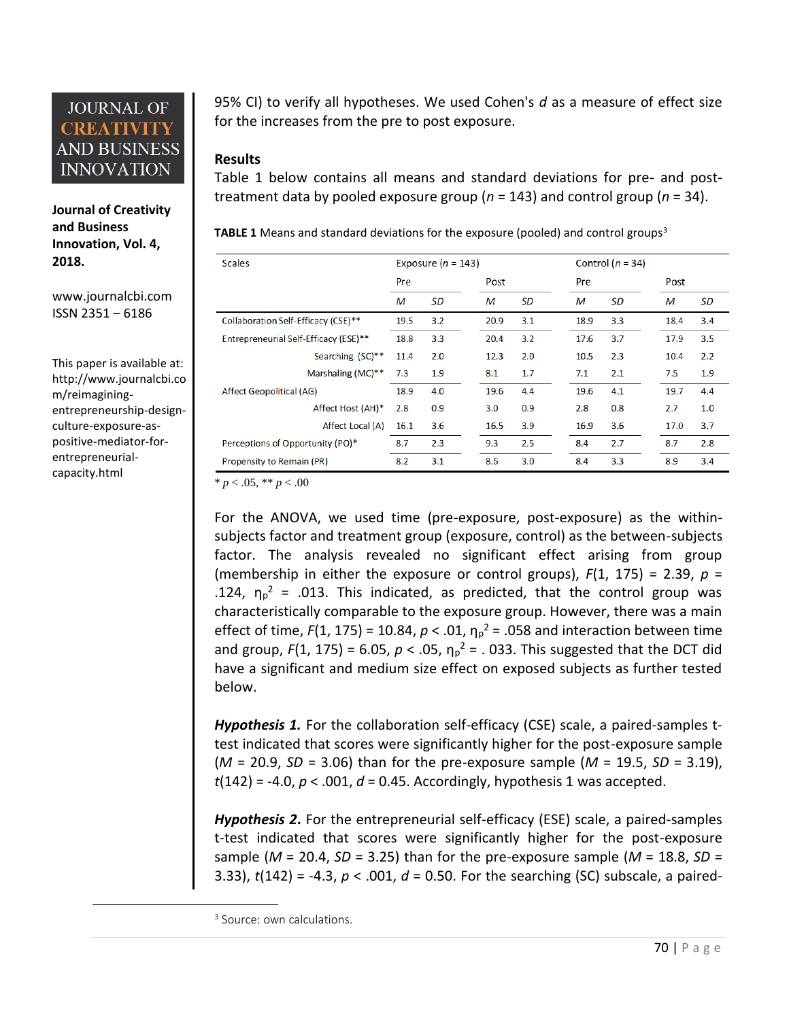**Journal of Creativity and Business Innovation, Vol. 4, 2018.**

[www.journalcbi.com](http://www.journalcbi.com/) ISSN 2351 – 6186

This paper is available at: [http://www.journalcbi.co](http://www.journalcbi.com/ideation-using-analogies.html) [m/reimagining](http://www.journalcbi.com/ideation-using-analogies.html)[entrepreneurship-design](http://www.journalcbi.com/ideation-using-analogies.html)[culture-exposure-as](http://www.journalcbi.com/ideation-using-analogies.html)[positive-mediator-for](http://www.journalcbi.com/ideation-using-analogies.html)[entrepreneurial](http://www.journalcbi.com/ideation-using-analogies.html)[capacity.html](http://www.journalcbi.com/ideation-using-analogies.html)

 $\overline{\phantom{a}}$ 

95% CI) to verify all hypotheses. We used Cohen's *d* as a measure of effect size for the increases from the pre to post exposure.

#### **Results**

Table 1 below contains all means and standard deviations for pre- and posttreatment data by pooled exposure group (*n* = 143) and control group (*n* = 34).

**TABLE 1** Means and standard deviations for the exposure (pooled) and control groups<sup>3</sup>

| <b>Scales</b>                         |      | Exposure $(n = 143)$ |      |     |      | Control $(n = 34)$ |      |     |
|---------------------------------------|------|----------------------|------|-----|------|--------------------|------|-----|
|                                       | Pre  |                      | Post |     | Pre  |                    | Post |     |
|                                       | M    | SD                   | м    | SD  | M    | SD                 | м    | SD  |
| Collaboration Self-Efficacy (CSE)**   | 19.5 | 3.2                  | 20.9 | 3.1 | 18.9 | 3.3                | 18.4 | 3.4 |
| Entrepreneurial Self-Efficacy (ESE)** | 18.8 | 3.3                  | 20.4 | 3.2 | 17.6 | 3.7                | 17.9 | 3.5 |
| Searching (SC)**                      | 11.4 | 2.0                  | 12.3 | 2.0 | 10.5 | 2.3                | 10.4 | 2.2 |
| Marshaling $(MC)**$                   | 7.3  | 1.9                  | 8.1  | 1.7 | 7.1  | 2.1                | 7.5  | 1.9 |
| Affect Geopolitical (AG)              | 18.9 | 4.0                  | 19.6 | 4.4 | 19.6 | 4.1                | 19.7 | 4.4 |
| Affect Host (AH)*                     | 2.8  | 0.9                  | 3.0  | 0.9 | 2.8  | 0.8                | 2.7  | 1.0 |
| Affect Local (A)                      | 16.1 | 3.6                  | 16.5 | 3.9 | 16.9 | 3.6                | 17.0 | 3.7 |
| Perceptions of Opportunity (PO)*      | 8.7  | 2.3                  | 9.3  | 2.5 | 8.4  | 2.7                | 8.7  | 2.8 |
| Propensity to Remain (PR)             | 8.2  | 3.1                  | 8.6  | 3.0 | 8.4  | 3.3                | 8.9  | 3.4 |

 $* p < .05, ** p < .00$ 

For the ANOVA, we used time (pre-exposure, post-exposure) as the withinsubjects factor and treatment group (exposure, control) as the between-subjects factor. The analysis revealed no significant effect arising from group (membership in either the exposure or control groups),  $F(1, 175) = 2.39$ ,  $p =$ .124,  $\eta_p^2$  = .013. This indicated, as predicted, that the control group was characteristically comparable to the exposure group. However, there was a main effect of time,  $F(1, 175) = 10.84$ ,  $p < .01$ ,  $\eta_p^2 = .058$  and interaction between time and group,  $F(1, 175) = 6.05$ ,  $p < .05$ ,  $\eta_p^2 = .033$ . This suggested that the DCT did have a significant and medium size effect on exposed subjects as further tested below.

*Hypothesis 1.* For the collaboration self-efficacy (CSE) scale, a paired-samples ttest indicated that scores were significantly higher for the post-exposure sample (*M* = 20.9, *SD* = 3.06) than for the pre-exposure sample (*M* = 19.5, *SD* = 3.19), *t*(142) = -4.0, *p* < .001, *d* = 0.45. Accordingly, hypothesis 1 was accepted.

*Hypothesis 2***.** For the entrepreneurial self-efficacy (ESE) scale, a paired-samples t-test indicated that scores were significantly higher for the post-exposure sample ( $M = 20.4$ ,  $SD = 3.25$ ) than for the pre-exposure sample ( $M = 18.8$ ,  $SD =$ 3.33), *t*(142) = -4.3, *p* < .001, *d* = 0.50. For the searching (SC) subscale, a paired-

<sup>&</sup>lt;sup>3</sup> Source: own calculations.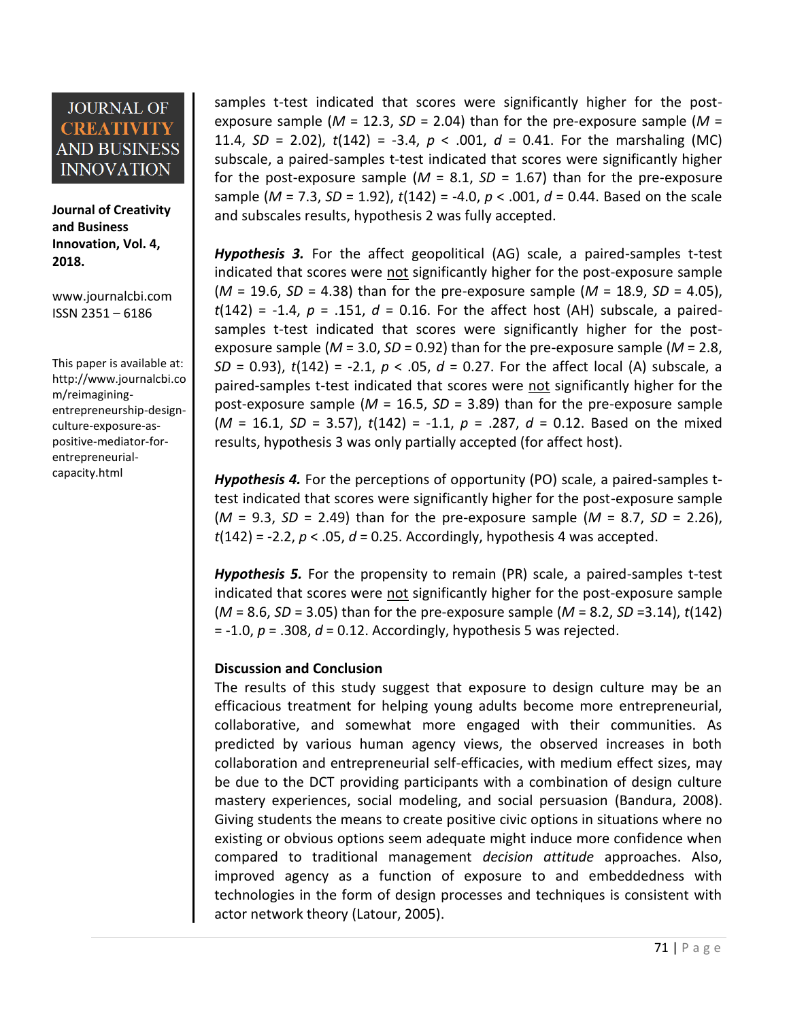**Journal of Creativity and Business Innovation, Vol. 4, 2018.**

[www.journalcbi.com](http://www.journalcbi.com/) ISSN 2351 – 6186

This paper is available at: [http://www.journalcbi.co](http://www.journalcbi.com/ideation-using-analogies.html) [m/reimagining](http://www.journalcbi.com/ideation-using-analogies.html)[entrepreneurship-design](http://www.journalcbi.com/ideation-using-analogies.html)[culture-exposure-as](http://www.journalcbi.com/ideation-using-analogies.html)[positive-mediator-for](http://www.journalcbi.com/ideation-using-analogies.html)[entrepreneurial](http://www.journalcbi.com/ideation-using-analogies.html)[capacity.html](http://www.journalcbi.com/ideation-using-analogies.html)

samples t-test indicated that scores were significantly higher for the postexposure sample ( $M = 12.3$ ,  $SD = 2.04$ ) than for the pre-exposure sample ( $M =$ 11.4,  $SD = 2.02$ ),  $t(142) = -3.4$ ,  $p < .001$ ,  $d = 0.41$ . For the marshaling (MC) subscale, a paired-samples t-test indicated that scores were significantly higher for the post-exposure sample  $(M = 8.1, SD = 1.67)$  than for the pre-exposure sample (*M* = 7.3, *SD* = 1.92), *t*(142) = -4.0, *p* < .001, *d* = 0.44. Based on the scale and subscales results, hypothesis 2 was fully accepted.

*Hypothesis 3.* For the affect geopolitical (AG) scale, a paired-samples t-test indicated that scores were not significantly higher for the post-exposure sample (*M* = 19.6, *SD* = 4.38) than for the pre-exposure sample (*M* = 18.9, *SD* = 4.05), *t*(142) = -1.4, *p* = .151, *d* = 0.16. For the affect host (AH) subscale, a pairedsamples t-test indicated that scores were significantly higher for the postexposure sample (*M* = 3.0, *SD* = 0.92) than for the pre-exposure sample (*M* = 2.8, *SD* = 0.93), *t*(142) = -2.1, *p* < .05, *d* = 0.27. For the affect local (A) subscale, a paired-samples t-test indicated that scores were not significantly higher for the post-exposure sample ( $M = 16.5$ ,  $SD = 3.89$ ) than for the pre-exposure sample (*M* = 16.1, *SD* = 3.57), *t*(142) = -1.1, *p* = .287, *d* = 0.12. Based on the mixed results, hypothesis 3 was only partially accepted (for affect host).

*Hypothesis 4.* For the perceptions of opportunity (PO) scale, a paired-samples ttest indicated that scores were significantly higher for the post-exposure sample (*M* = 9.3, *SD* = 2.49) than for the pre-exposure sample (*M* = 8.7, *SD* = 2.26), *t*(142) = -2.2, *p* < .05, *d* = 0.25. Accordingly, hypothesis 4 was accepted.

*Hypothesis 5.* For the propensity to remain (PR) scale, a paired-samples t-test indicated that scores were not significantly higher for the post-exposure sample (*M* = 8.6, *SD* = 3.05) than for the pre-exposure sample (*M* = 8.2, *SD* =3.14), *t*(142) = -1.0, *p* = .308, *d* = 0.12. Accordingly, hypothesis 5 was rejected.

#### **Discussion and Conclusion**

The results of this study suggest that exposure to design culture may be an efficacious treatment for helping young adults become more entrepreneurial, collaborative, and somewhat more engaged with their communities. As predicted by various human agency views, the observed increases in both collaboration and entrepreneurial self-efficacies, with medium effect sizes, may be due to the DCT providing participants with a combination of design culture mastery experiences, social modeling, and social persuasion (Bandura, 2008). Giving students the means to create positive civic options in situations where no existing or obvious options seem adequate might induce more confidence when compared to traditional management *decision attitude* approaches. Also, improved agency as a function of exposure to and embeddedness with technologies in the form of design processes and techniques is consistent with actor network theory (Latour, 2005).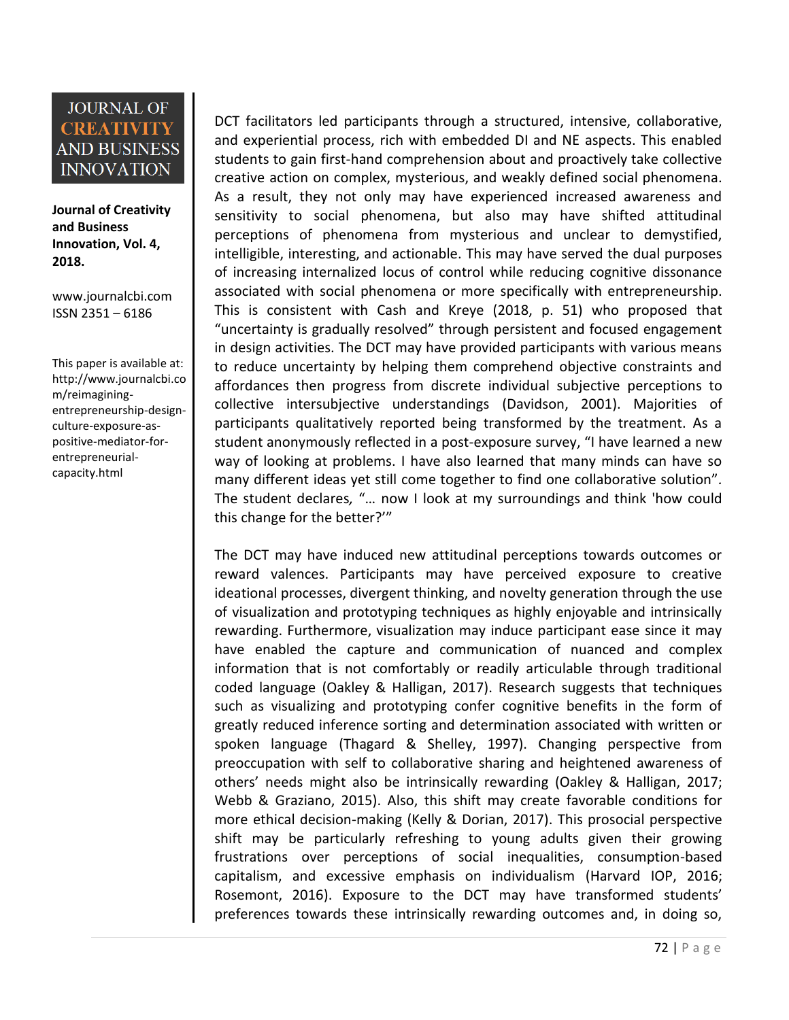**Journal of Creativity and Business Innovation, Vol. 4, 2018.**

[www.journalcbi.com](http://www.journalcbi.com/) ISSN 2351 – 6186

This paper is available at: [http://www.journalcbi.co](http://www.journalcbi.com/ideation-using-analogies.html) [m/reimagining](http://www.journalcbi.com/ideation-using-analogies.html)[entrepreneurship-design](http://www.journalcbi.com/ideation-using-analogies.html)[culture-exposure-as](http://www.journalcbi.com/ideation-using-analogies.html)[positive-mediator-for](http://www.journalcbi.com/ideation-using-analogies.html)[entrepreneurial](http://www.journalcbi.com/ideation-using-analogies.html)[capacity.html](http://www.journalcbi.com/ideation-using-analogies.html)

DCT facilitators led participants through a structured, intensive, collaborative, and experiential process, rich with embedded DI and NE aspects. This enabled students to gain first-hand comprehension about and proactively take collective creative action on complex, mysterious, and weakly defined social phenomena. As a result, they not only may have experienced increased awareness and sensitivity to social phenomena, but also may have shifted attitudinal perceptions of phenomena from mysterious and unclear to demystified, intelligible, interesting, and actionable. This may have served the dual purposes of increasing internalized locus of control while reducing cognitive dissonance associated with social phenomena or more specifically with entrepreneurship. This is consistent with Cash and Kreye (2018, p. 51) who proposed that "uncertainty is gradually resolved" through persistent and focused engagement in design activities. The DCT may have provided participants with various means to reduce uncertainty by helping them comprehend objective constraints and affordances then progress from discrete individual subjective perceptions to collective intersubjective understandings (Davidson, 2001). Majorities of participants qualitatively reported being transformed by the treatment. As a student anonymously reflected in a post-exposure survey, "I have learned a new way of looking at problems. I have also learned that many minds can have so many different ideas yet still come together to find one collaborative solution"*.* The student declares*,* "… now I look at my surroundings and think 'how could this change for the better?'"

The DCT may have induced new attitudinal perceptions towards outcomes or reward valences. Participants may have perceived exposure to creative ideational processes, divergent thinking, and novelty generation through the use of visualization and prototyping techniques as highly enjoyable and intrinsically rewarding. Furthermore, visualization may induce participant ease since it may have enabled the capture and communication of nuanced and complex information that is not comfortably or readily articulable through traditional coded language (Oakley & Halligan, 2017). Research suggests that techniques such as visualizing and prototyping confer cognitive benefits in the form of greatly reduced inference sorting and determination associated with written or spoken language (Thagard & Shelley, 1997). Changing perspective from preoccupation with self to collaborative sharing and heightened awareness of others' needs might also be intrinsically rewarding (Oakley & Halligan, 2017; Webb & Graziano, 2015). Also, this shift may create favorable conditions for more ethical decision-making (Kelly & Dorian, 2017). This prosocial perspective shift may be particularly refreshing to young adults given their growing frustrations over perceptions of social inequalities, consumption-based capitalism, and excessive emphasis on individualism (Harvard IOP, 2016; Rosemont, 2016). Exposure to the DCT may have transformed students' preferences towards these intrinsically rewarding outcomes and, in doing so,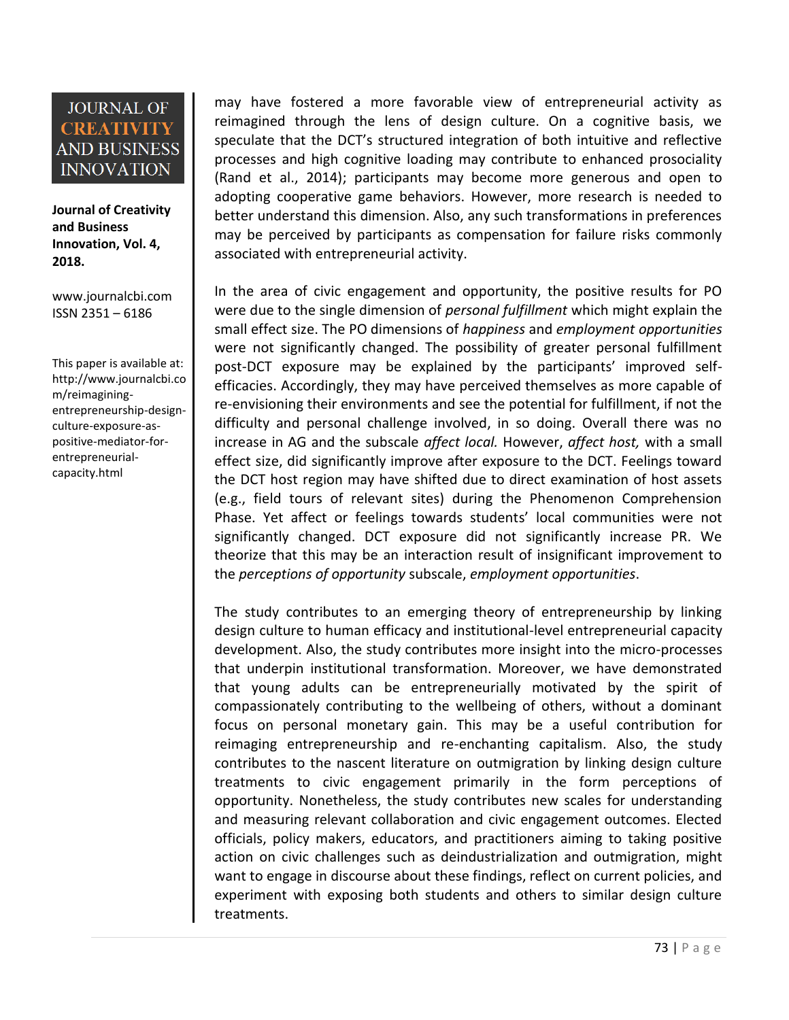**Journal of Creativity and Business Innovation, Vol. 4, 2018.**

[www.journalcbi.com](http://www.journalcbi.com/) ISSN 2351 – 6186

This paper is available at: [http://www.journalcbi.co](http://www.journalcbi.com/ideation-using-analogies.html) [m/reimagining](http://www.journalcbi.com/ideation-using-analogies.html)[entrepreneurship-design](http://www.journalcbi.com/ideation-using-analogies.html)[culture-exposure-as](http://www.journalcbi.com/ideation-using-analogies.html)[positive-mediator-for](http://www.journalcbi.com/ideation-using-analogies.html)[entrepreneurial](http://www.journalcbi.com/ideation-using-analogies.html)[capacity.html](http://www.journalcbi.com/ideation-using-analogies.html)

may have fostered a more favorable view of entrepreneurial activity as reimagined through the lens of design culture. On a cognitive basis, we speculate that the DCT's structured integration of both intuitive and reflective processes and high cognitive loading may contribute to enhanced prosociality (Rand et al., 2014); participants may become more generous and open to adopting cooperative game behaviors. However, more research is needed to better understand this dimension. Also, any such transformations in preferences may be perceived by participants as compensation for failure risks commonly associated with entrepreneurial activity.

In the area of civic engagement and opportunity, the positive results for PO were due to the single dimension of *personal fulfillment* which might explain the small effect size. The PO dimensions of *happiness* and *employment opportunities* were not significantly changed. The possibility of greater personal fulfillment post-DCT exposure may be explained by the participants' improved selfefficacies. Accordingly, they may have perceived themselves as more capable of re-envisioning their environments and see the potential for fulfillment, if not the difficulty and personal challenge involved, in so doing. Overall there was no increase in AG and the subscale *affect local.* However, *affect host,* with a small effect size, did significantly improve after exposure to the DCT. Feelings toward the DCT host region may have shifted due to direct examination of host assets (e.g., field tours of relevant sites) during the Phenomenon Comprehension Phase. Yet affect or feelings towards students' local communities were not significantly changed. DCT exposure did not significantly increase PR. We theorize that this may be an interaction result of insignificant improvement to the *perceptions of opportunity* subscale, *employment opportunities*.

The study contributes to an emerging theory of entrepreneurship by linking design culture to human efficacy and institutional-level entrepreneurial capacity development. Also, the study contributes more insight into the micro-processes that underpin institutional transformation. Moreover, we have demonstrated that young adults can be entrepreneurially motivated by the spirit of compassionately contributing to the wellbeing of others, without a dominant focus on personal monetary gain. This may be a useful contribution for reimaging entrepreneurship and re-enchanting capitalism. Also, the study contributes to the nascent literature on outmigration by linking design culture treatments to civic engagement primarily in the form perceptions of opportunity. Nonetheless, the study contributes new scales for understanding and measuring relevant collaboration and civic engagement outcomes. Elected officials, policy makers, educators, and practitioners aiming to taking positive action on civic challenges such as deindustrialization and outmigration, might want to engage in discourse about these findings, reflect on current policies, and experiment with exposing both students and others to similar design culture treatments.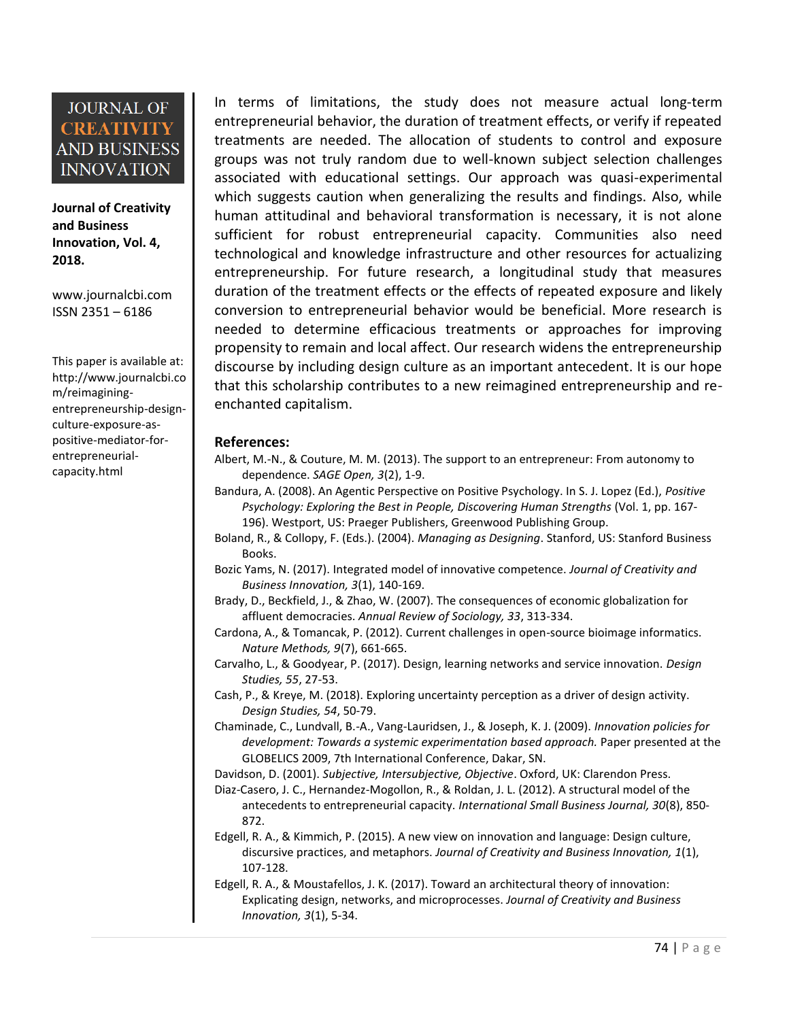**Journal of Creativity and Business Innovation, Vol. 4, 2018.**

[www.journalcbi.com](http://www.journalcbi.com/) ISSN 2351 – 6186

This paper is available at: [http://www.journalcbi.co](http://www.journalcbi.com/ideation-using-analogies.html) [m/reimagining](http://www.journalcbi.com/ideation-using-analogies.html)[entrepreneurship-design](http://www.journalcbi.com/ideation-using-analogies.html)[culture-exposure-as](http://www.journalcbi.com/ideation-using-analogies.html)[positive-mediator-for](http://www.journalcbi.com/ideation-using-analogies.html)[entrepreneurial](http://www.journalcbi.com/ideation-using-analogies.html)[capacity.html](http://www.journalcbi.com/ideation-using-analogies.html)

In terms of limitations, the study does not measure actual long-term entrepreneurial behavior, the duration of treatment effects, or verify if repeated treatments are needed. The allocation of students to control and exposure groups was not truly random due to well-known subject selection challenges associated with educational settings. Our approach was quasi-experimental which suggests caution when generalizing the results and findings. Also, while human attitudinal and behavioral transformation is necessary, it is not alone sufficient for robust entrepreneurial capacity. Communities also need technological and knowledge infrastructure and other resources for actualizing entrepreneurship. For future research, a longitudinal study that measures duration of the treatment effects or the effects of repeated exposure and likely conversion to entrepreneurial behavior would be beneficial. More research is needed to determine efficacious treatments or approaches for improving propensity to remain and local affect. Our research widens the entrepreneurship discourse by including design culture as an important antecedent. It is our hope that this scholarship contributes to a new reimagined entrepreneurship and reenchanted capitalism.

#### **References:**

- Albert, M.-N., & Couture, M. M. (2013). The support to an entrepreneur: From autonomy to dependence. *SAGE Open, 3*(2), 1-9.
- Bandura, A. (2008). An Agentic Perspective on Positive Psychology. In S. J. Lopez (Ed.), *Positive Psychology: Exploring the Best in People, Discovering Human Strengths* (Vol. 1, pp. 167- 196). Westport, US: Praeger Publishers, Greenwood Publishing Group.
- Boland, R., & Collopy, F. (Eds.). (2004). *Managing as Designing*. Stanford, US: Stanford Business Books.
- Bozic Yams, N. (2017). Integrated model of innovative competence. *Journal of Creativity and Business Innovation, 3*(1), 140-169.
- Brady, D., Beckfield, J., & Zhao, W. (2007). The consequences of economic globalization for affluent democracies. *Annual Review of Sociology, 33*, 313-334.
- Cardona, A., & Tomancak, P. (2012). Current challenges in open-source bioimage informatics. *Nature Methods, 9*(7), 661-665.
- Carvalho, L., & Goodyear, P. (2017). Design, learning networks and service innovation. *Design Studies, 55*, 27-53.
- Cash, P., & Kreye, M. (2018). Exploring uncertainty perception as a driver of design activity. *Design Studies, 54*, 50-79.
- Chaminade, C., Lundvall, B.-A., Vang-Lauridsen, J., & Joseph, K. J. (2009). *Innovation policies for development: Towards a systemic experimentation based approach.* Paper presented at the GLOBELICS 2009, 7th International Conference, Dakar, SN.
- Davidson, D. (2001). *Subjective, Intersubjective, Objective*. Oxford, UK: Clarendon Press.
- Diaz-Casero, J. C., Hernandez-Mogollon, R., & Roldan, J. L. (2012). A structural model of the antecedents to entrepreneurial capacity. *International Small Business Journal, 30*(8), 850- 872.
- Edgell, R. A., & Kimmich, P. (2015). A new view on innovation and language: Design culture, discursive practices, and metaphors. *Journal of Creativity and Business Innovation, 1*(1), 107-128.

Edgell, R. A., & Moustafellos, J. K. (2017). Toward an architectural theory of innovation: Explicating design, networks, and microprocesses. *Journal of Creativity and Business Innovation, 3*(1), 5-34.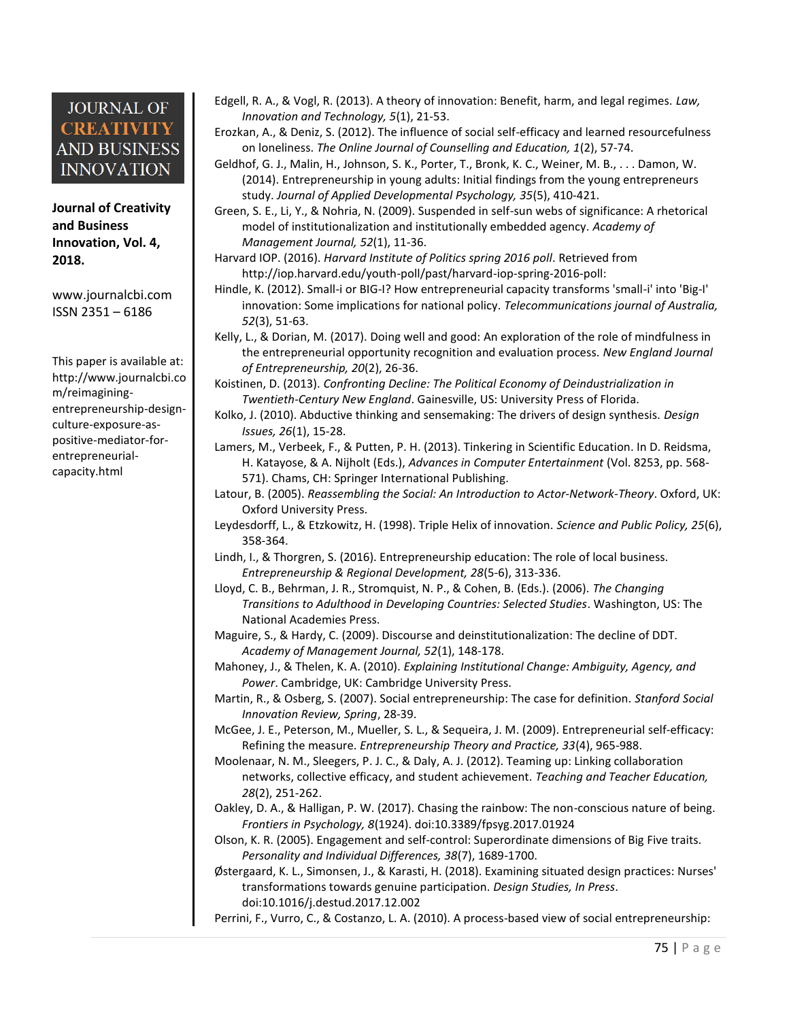**Journal of Creativity and Business Innovation, Vol. 4, 2018.**

[www.journalcbi.com](http://www.journalcbi.com/) ISSN 2351 – 6186

This paper is available at: [http://www.journalcbi.co](http://www.journalcbi.com/ideation-using-analogies.html) [m/reimagining](http://www.journalcbi.com/ideation-using-analogies.html)[entrepreneurship-design](http://www.journalcbi.com/ideation-using-analogies.html)[culture-exposure-as](http://www.journalcbi.com/ideation-using-analogies.html)[positive-mediator-for](http://www.journalcbi.com/ideation-using-analogies.html)[entrepreneurial](http://www.journalcbi.com/ideation-using-analogies.html)[capacity.html](http://www.journalcbi.com/ideation-using-analogies.html)

- Edgell, R. A., & Vogl, R. (2013). A theory of innovation: Benefit, harm, and legal regimes. *Law, Innovation and Technology, 5*(1), 21-53.
- Erozkan, A., & Deniz, S. (2012). The influence of social self-efficacy and learned resourcefulness on loneliness. *The Online Journal of Counselling and Education, 1*(2), 57-74.
- Geldhof, G. J., Malin, H., Johnson, S. K., Porter, T., Bronk, K. C., Weiner, M. B., . . . Damon, W. (2014). Entrepreneurship in young adults: Initial findings from the young entrepreneurs study. *Journal of Applied Developmental Psychology, 35*(5), 410-421.
- Green, S. E., Li, Y., & Nohria, N. (2009). Suspended in self-sun webs of significance: A rhetorical model of institutionalization and institutionally embedded agency. *Academy of Management Journal, 52*(1), 11-36.
- Harvard IOP. (2016). *Harvard Institute of Politics spring 2016 poll*. Retrieved from <http://iop.harvard.edu/youth-poll/past/harvard-iop-spring-2016-poll:>
- Hindle, K. (2012). Small-i or BIG-I? How entrepreneurial capacity transforms 'small-i' into 'Big-I' innovation: Some implications for national policy. *Telecommunications journal of Australia, 52*(3), 51-63.
- Kelly, L., & Dorian, M. (2017). Doing well and good: An exploration of the role of mindfulness in the entrepreneurial opportunity recognition and evaluation process. *New England Journal of Entrepreneurship, 20*(2), 26-36.
- Koistinen, D. (2013). *Confronting Decline: The Political Economy of Deindustrialization in Twentieth-Century New England*. Gainesville, US: University Press of Florida.
- Kolko, J. (2010). Abductive thinking and sensemaking: The drivers of design synthesis. *Design Issues, 26*(1), 15-28.
- Lamers, M., Verbeek, F., & Putten, P. H. (2013). Tinkering in Scientific Education. In D. Reidsma, H. Katayose, & A. Nijholt (Eds.), *Advances in Computer Entertainment* (Vol. 8253, pp. 568- 571). Chams, CH: Springer International Publishing.
- Latour, B. (2005). *Reassembling the Social: An Introduction to Actor-Network-Theory*. Oxford, UK: Oxford University Press.
- Leydesdorff, L., & Etzkowitz, H. (1998). Triple Helix of innovation. *Science and Public Policy, 25*(6), 358-364.
- Lindh, I., & Thorgren, S. (2016). Entrepreneurship education: The role of local business. *Entrepreneurship & Regional Development, 28*(5-6), 313-336.
- Lloyd, C. B., Behrman, J. R., Stromquist, N. P., & Cohen, B. (Eds.). (2006). *The Changing Transitions to Adulthood in Developing Countries: Selected Studies*. Washington, US: The National Academies Press.
- Maguire, S., & Hardy, C. (2009). Discourse and deinstitutionalization: The decline of DDT. *Academy of Management Journal, 52*(1), 148-178.
- Mahoney, J., & Thelen, K. A. (2010). *Explaining Institutional Change: Ambiguity, Agency, and Power*. Cambridge, UK: Cambridge University Press.
- Martin, R., & Osberg, S. (2007). Social entrepreneurship: The case for definition. *Stanford Social Innovation Review, Spring*, 28-39.
- McGee, J. E., Peterson, M., Mueller, S. L., & Sequeira, J. M. (2009). Entrepreneurial self-efficacy: Refining the measure. *Entrepreneurship Theory and Practice, 33*(4), 965-988.
- Moolenaar, N. M., Sleegers, P. J. C., & Daly, A. J. (2012). Teaming up: Linking collaboration networks, collective efficacy, and student achievement. *Teaching and Teacher Education, 28*(2), 251-262.
- Oakley, D. A., & Halligan, P. W. (2017). Chasing the rainbow: The non-conscious nature of being. *Frontiers in Psychology, 8*(1924). doi:10.3389/fpsyg.2017.01924
- Olson, K. R. (2005). Engagement and self-control: Superordinate dimensions of Big Five traits. *Personality and Individual Differences, 38*(7), 1689-1700.
- Østergaard, K. L., Simonsen, J., & Karasti, H. (2018). Examining situated design practices: Nurses' transformations towards genuine participation. *Design Studies, In Press*. doi:10.1016/j.destud.2017.12.002

Perrini, F., Vurro, C., & Costanzo, L. A. (2010). A process-based view of social entrepreneurship: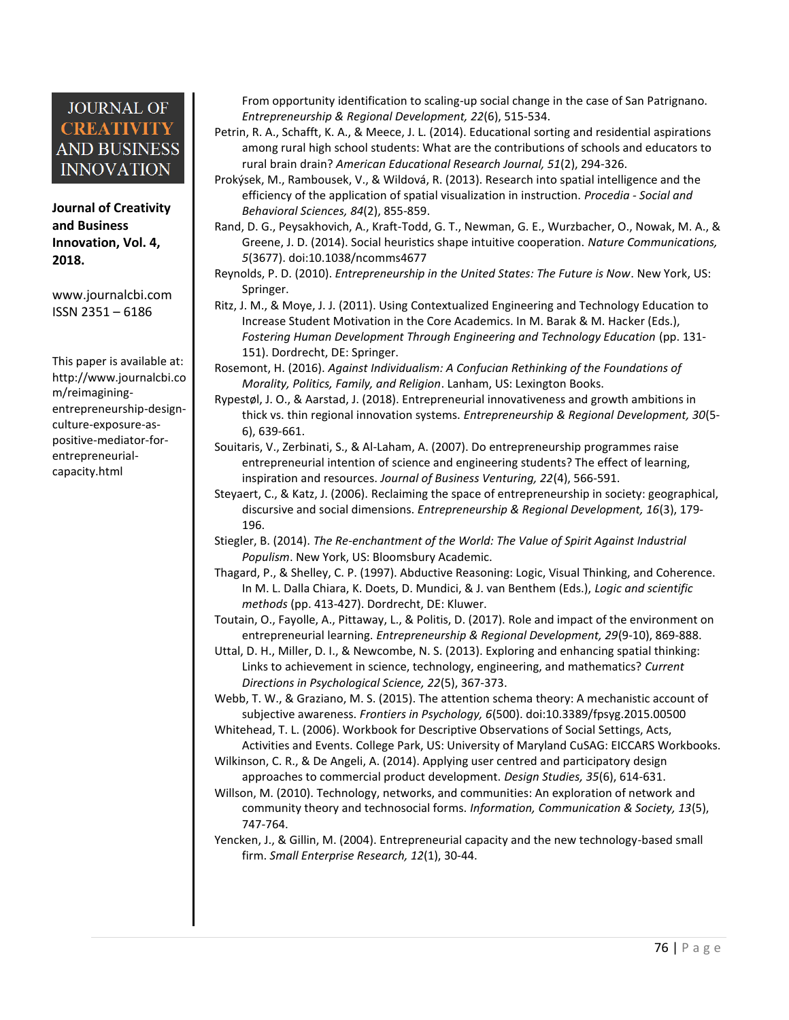**Journal of Creativity and Business Innovation, Vol. 4, 2018.**

[www.journalcbi.com](http://www.journalcbi.com/) ISSN 2351 – 6186

This paper is available at: [http://www.journalcbi.co](http://www.journalcbi.com/ideation-using-analogies.html) [m/reimagining](http://www.journalcbi.com/ideation-using-analogies.html)[entrepreneurship-design](http://www.journalcbi.com/ideation-using-analogies.html)[culture-exposure-as](http://www.journalcbi.com/ideation-using-analogies.html)[positive-mediator-for](http://www.journalcbi.com/ideation-using-analogies.html)[entrepreneurial](http://www.journalcbi.com/ideation-using-analogies.html)[capacity.html](http://www.journalcbi.com/ideation-using-analogies.html)

From opportunity identification to scaling-up social change in the case of San Patrignano. *Entrepreneurship & Regional Development, 22*(6), 515-534.

- Petrin, R. A., Schafft, K. A., & Meece, J. L. (2014). Educational sorting and residential aspirations among rural high school students: What are the contributions of schools and educators to rural brain drain? *American Educational Research Journal, 51*(2), 294-326.
- Prokýsek, M., Rambousek, V., & Wildová, R. (2013). Research into spatial intelligence and the efficiency of the application of spatial visualization in instruction. *Procedia - Social and Behavioral Sciences, 84*(2), 855-859.
- Rand, D. G., Peysakhovich, A., Kraft-Todd, G. T., Newman, G. E., Wurzbacher, O., Nowak, M. A., & Greene, J. D. (2014). Social heuristics shape intuitive cooperation. *Nature Communications, 5*(3677). doi:10.1038/ncomms4677
- Reynolds, P. D. (2010). *Entrepreneurship in the United States: The Future is Now*. New York, US: Springer.
- Ritz, J. M., & Moye, J. J. (2011). Using Contextualized Engineering and Technology Education to Increase Student Motivation in the Core Academics. In M. Barak & M. Hacker (Eds.), *Fostering Human Development Through Engineering and Technology Education* (pp. 131- 151). Dordrecht, DE: Springer.

Rosemont, H. (2016). *Against Individualism: A Confucian Rethinking of the Foundations of Morality, Politics, Family, and Religion*. Lanham, US: Lexington Books.

- Rypestøl, J. O., & Aarstad, J. (2018). Entrepreneurial innovativeness and growth ambitions in thick vs. thin regional innovation systems. *Entrepreneurship & Regional Development, 30*(5- 6), 639-661.
- Souitaris, V., Zerbinati, S., & Al-Laham, A. (2007). Do entrepreneurship programmes raise entrepreneurial intention of science and engineering students? The effect of learning, inspiration and resources. *Journal of Business Venturing, 22*(4), 566-591.
- Steyaert, C., & Katz, J. (2006). Reclaiming the space of entrepreneurship in society: geographical, discursive and social dimensions. *Entrepreneurship & Regional Development, 16*(3), 179- 196.
- Stiegler, B. (2014). *The Re-enchantment of the World: The Value of Spirit Against Industrial Populism*. New York, US: Bloomsbury Academic.
- Thagard, P., & Shelley, C. P. (1997). Abductive Reasoning: Logic, Visual Thinking, and Coherence. In M. L. Dalla Chiara, K. Doets, D. Mundici, & J. van Benthem (Eds.), *Logic and scientific methods* (pp. 413-427). Dordrecht, DE: Kluwer.

Toutain, O., Fayolle, A., Pittaway, L., & Politis, D. (2017). Role and impact of the environment on entrepreneurial learning. *Entrepreneurship & Regional Development, 29*(9-10), 869-888.

- Uttal, D. H., Miller, D. I., & Newcombe, N. S. (2013). Exploring and enhancing spatial thinking: Links to achievement in science, technology, engineering, and mathematics? *Current Directions in Psychological Science, 22*(5), 367-373.
- Webb, T. W., & Graziano, M. S. (2015). The attention schema theory: A mechanistic account of subjective awareness. *Frontiers in Psychology, 6*(500). doi:10.3389/fpsyg.2015.00500

Whitehead, T. L. (2006). Workbook for Descriptive Observations of Social Settings, Acts, Activities and Events. College Park, US: University of Maryland CuSAG: EICCARS Workbooks.

- Wilkinson, C. R., & De Angeli, A. (2014). Applying user centred and participatory design approaches to commercial product development. *Design Studies, 35*(6), 614-631.
- Willson, M. (2010). Technology, networks, and communities: An exploration of network and community theory and technosocial forms. *Information, Communication & Society, 13*(5), 747-764.
- Yencken, J., & Gillin, M. (2004). Entrepreneurial capacity and the new technology-based small firm. *Small Enterprise Research, 12*(1), 30-44.